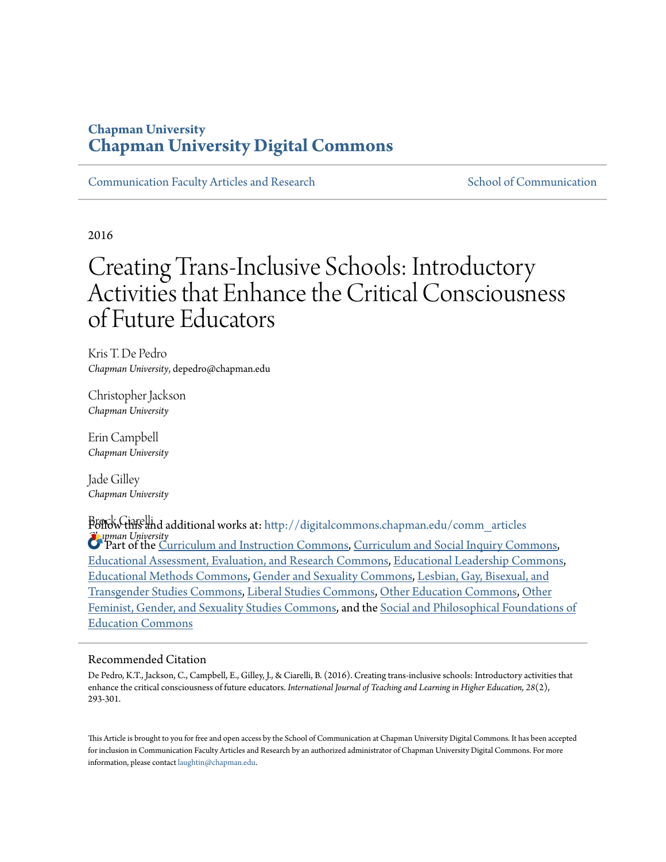# **Chapman University [Chapman University Digital Commons](http://digitalcommons.chapman.edu?utm_source=digitalcommons.chapman.edu%2Fcomm_articles%2F26&utm_medium=PDF&utm_campaign=PDFCoverPages)**

[Communication Faculty Articles and Research](http://digitalcommons.chapman.edu/comm_articles?utm_source=digitalcommons.chapman.edu%2Fcomm_articles%2F26&utm_medium=PDF&utm_campaign=PDFCoverPages) [School of Communication](http://digitalcommons.chapman.edu/communication?utm_source=digitalcommons.chapman.edu%2Fcomm_articles%2F26&utm_medium=PDF&utm_campaign=PDFCoverPages)

2016

# Creating Trans-Inclusive Schools: Introductory Activities that Enhance the Critical Consciousness of Future Educators

Kris T. De Pedro *Chapman University*, depedro@chapman.edu

Christopher Jackson *Chapman University*

Erin Campbell *Chapman University*

Jade Gilley *Chapman University*

Brock Ciarelli Follow this and additional works at: [http://digitalcommons.chapman.edu/comm\\_articles](http://digitalcommons.chapman.edu/comm_articles?utm_source=digitalcommons.chapman.edu%2Fcomm_articles%2F26&utm_medium=PDF&utm_campaign=PDFCoverPages) *Chapman University* Part of the [Curriculum and Instruction Commons](http://network.bepress.com/hgg/discipline/786?utm_source=digitalcommons.chapman.edu%2Fcomm_articles%2F26&utm_medium=PDF&utm_campaign=PDFCoverPages), [Curriculum and Social Inquiry Commons](http://network.bepress.com/hgg/discipline/1038?utm_source=digitalcommons.chapman.edu%2Fcomm_articles%2F26&utm_medium=PDF&utm_campaign=PDFCoverPages), [Educational Assessment, Evaluation, and Research Commons](http://network.bepress.com/hgg/discipline/796?utm_source=digitalcommons.chapman.edu%2Fcomm_articles%2F26&utm_medium=PDF&utm_campaign=PDFCoverPages), [Educational Leadership Commons](http://network.bepress.com/hgg/discipline/1230?utm_source=digitalcommons.chapman.edu%2Fcomm_articles%2F26&utm_medium=PDF&utm_campaign=PDFCoverPages), [Educational Methods Commons,](http://network.bepress.com/hgg/discipline/1227?utm_source=digitalcommons.chapman.edu%2Fcomm_articles%2F26&utm_medium=PDF&utm_campaign=PDFCoverPages) [Gender and Sexuality Commons](http://network.bepress.com/hgg/discipline/420?utm_source=digitalcommons.chapman.edu%2Fcomm_articles%2F26&utm_medium=PDF&utm_campaign=PDFCoverPages), [Lesbian, Gay, Bisexual, and](http://network.bepress.com/hgg/discipline/560?utm_source=digitalcommons.chapman.edu%2Fcomm_articles%2F26&utm_medium=PDF&utm_campaign=PDFCoverPages) [Transgender Studies Commons,](http://network.bepress.com/hgg/discipline/560?utm_source=digitalcommons.chapman.edu%2Fcomm_articles%2F26&utm_medium=PDF&utm_campaign=PDFCoverPages) [Liberal Studies Commons,](http://network.bepress.com/hgg/discipline/1042?utm_source=digitalcommons.chapman.edu%2Fcomm_articles%2F26&utm_medium=PDF&utm_campaign=PDFCoverPages) [Other Education Commons](http://network.bepress.com/hgg/discipline/811?utm_source=digitalcommons.chapman.edu%2Fcomm_articles%2F26&utm_medium=PDF&utm_campaign=PDFCoverPages), [Other](http://network.bepress.com/hgg/discipline/562?utm_source=digitalcommons.chapman.edu%2Fcomm_articles%2F26&utm_medium=PDF&utm_campaign=PDFCoverPages) [Feminist, Gender, and Sexuality Studies Commons](http://network.bepress.com/hgg/discipline/562?utm_source=digitalcommons.chapman.edu%2Fcomm_articles%2F26&utm_medium=PDF&utm_campaign=PDFCoverPages), and the [Social and Philosophical Foundations of](http://network.bepress.com/hgg/discipline/799?utm_source=digitalcommons.chapman.edu%2Fcomm_articles%2F26&utm_medium=PDF&utm_campaign=PDFCoverPages) [Education Commons](http://network.bepress.com/hgg/discipline/799?utm_source=digitalcommons.chapman.edu%2Fcomm_articles%2F26&utm_medium=PDF&utm_campaign=PDFCoverPages)

### Recommended Citation

De Pedro, K.T., Jackson, C., Campbell, E., Gilley, J., & Ciarelli, B. (2016). Creating trans-inclusive schools: Introductory activities that enhance the critical consciousness of future educators. *International Journal of Teaching and Learning in Higher Education, 28*(2), 293-301.

This Article is brought to you for free and open access by the School of Communication at Chapman University Digital Commons. It has been accepted for inclusion in Communication Faculty Articles and Research by an authorized administrator of Chapman University Digital Commons. For more information, please contact [laughtin@chapman.edu](mailto:laughtin@chapman.edu).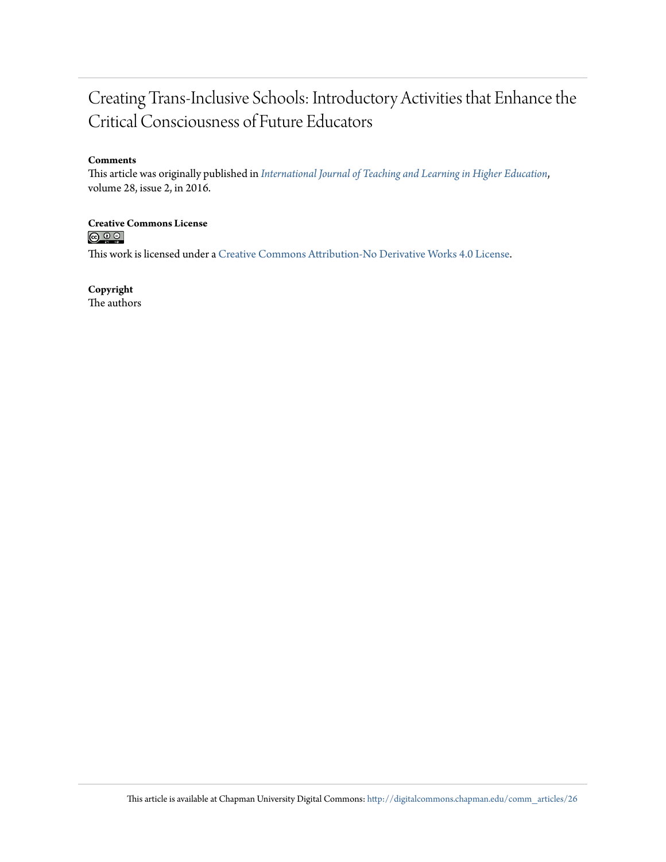# Creating Trans-Inclusive Schools: Introductory Activities that Enhance the Critical Consciousness of Future Educators

## **Comments**

This article was originally published in *[International Journal of Teaching and Learning in Higher Education](http://www.isetl.org/ijtlhe/abstract.cfm?mid=2223)*, volume 28, issue 2, in 2016.

# **Creative Commons License**<br> **C C C**

This work is licensed under a [Creative Commons Attribution-No Derivative Works 4.0 License.](http://creativecommons.org/licenses/by-nd/4.0/)

## **Copyright**

The authors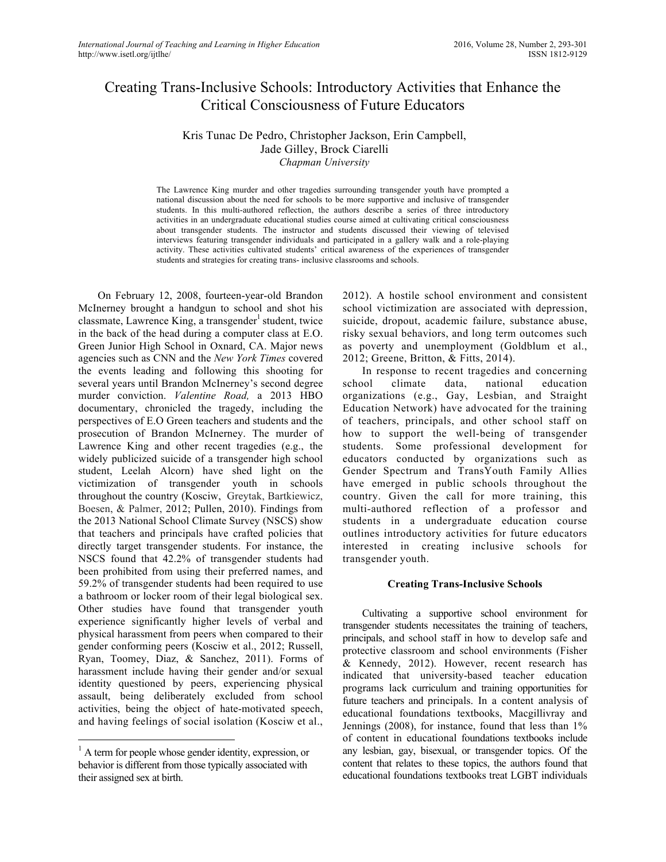# Creating Trans-Inclusive Schools: Introductory Activities that Enhance the Critical Consciousness of Future Educators

Kris Tunac De Pedro, Christopher Jackson, Erin Campbell, Jade Gilley, Brock Ciarelli *Chapman University*

The Lawrence King murder and other tragedies surrounding transgender youth have prompted a national discussion about the need for schools to be more supportive and inclusive of transgender students. In this multi-authored reflection, the authors describe a series of three introductory activities in an undergraduate educational studies course aimed at cultivating critical consciousness about transgender students. The instructor and students discussed their viewing of televised interviews featuring transgender individuals and participated in a gallery walk and a role-playing activity. These activities cultivated students' critical awareness of the experiences of transgender students and strategies for creating trans- inclusive classrooms and schools.

On February 12, 2008, fourteen-year-old Brandon McInerney brought a handgun to school and shot his classmate, Lawrence King, a transgender<sup>1</sup> student, twice in the back of the head during a computer class at E.O. Green Junior High School in Oxnard, CA. Major news agencies such as CNN and the *New York Times* covered the events leading and following this shooting for several years until Brandon McInerney's second degree murder conviction. *Valentine Road,* a 2013 HBO documentary, chronicled the tragedy, including the perspectives of E.O Green teachers and students and the prosecution of Brandon McInerney. The murder of Lawrence King and other recent tragedies (e.g., the widely publicized suicide of a transgender high school student, Leelah Alcorn) have shed light on the victimization of transgender youth in schools throughout the country (Kosciw, Greytak, Bartkiewicz, Boesen, & Palmer, 2012; Pullen, 2010). Findings from the 2013 National School Climate Survey (NSCS) show that teachers and principals have crafted policies that directly target transgender students. For instance, the NSCS found that 42.2% of transgender students had been prohibited from using their preferred names, and 59.2% of transgender students had been required to use a bathroom or locker room of their legal biological sex. Other studies have found that transgender youth experience significantly higher levels of verbal and physical harassment from peers when compared to their gender conforming peers (Kosciw et al., 2012; Russell, Ryan, Toomey, Diaz, & Sanchez, 2011). Forms of harassment include having their gender and/or sexual identity questioned by peers, experiencing physical assault, being deliberately excluded from school activities, being the object of hate-motivated speech, and having feelings of social isolation (Kosciw et al.,

2012). A hostile school environment and consistent school victimization are associated with depression, suicide, dropout, academic failure, substance abuse, risky sexual behaviors, and long term outcomes such as poverty and unemployment (Goldblum et al., 2012; Greene, Britton, & Fitts, 2014).

In response to recent tragedies and concerning school climate data, national education organizations (e.g., Gay, Lesbian, and Straight Education Network) have advocated for the training of teachers, principals, and other school staff on how to support the well-being of transgender students. Some professional development for educators conducted by organizations such as Gender Spectrum and TransYouth Family Allies have emerged in public schools throughout the country. Given the call for more training, this multi-authored reflection of a professor and students in a undergraduate education course outlines introductory activities for future educators interested in creating inclusive schools for transgender youth.

#### **Creating Trans-Inclusive Schools**

Cultivating a supportive school environment for transgender students necessitates the training of teachers, principals, and school staff in how to develop safe and protective classroom and school environments (Fisher & Kennedy, 2012). However, recent research has indicated that university-based teacher education programs lack curriculum and training opportunities for future teachers and principals. In a content analysis of educational foundations textbooks, Macgillivray and Jennings (2008), for instance, found that less than 1% of content in educational foundations textbooks include any lesbian, gay, bisexual, or transgender topics. Of the content that relates to these topics, the authors found that educational foundations textbooks treat LGBT individuals

 $<sup>1</sup>$  A term for people whose gender identity, expression, or</sup> behavior is different from those typically associated with their assigned sex at birth.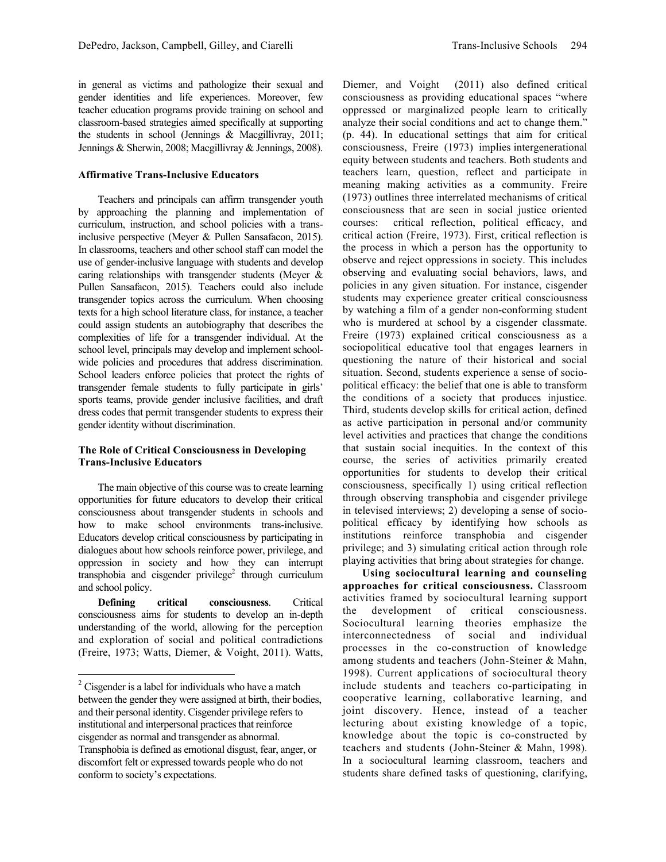in general as victims and pathologize their sexual and gender identities and life experiences. Moreover, few teacher education programs provide training on school and classroom-based strategies aimed specifically at supporting the students in school (Jennings & Macgillivray, 2011; Jennings & Sherwin, 2008; Macgillivray & Jennings, 2008).

#### **Affirmative Trans-Inclusive Educators**

Teachers and principals can affirm transgender youth by approaching the planning and implementation of curriculum, instruction, and school policies with a transinclusive perspective (Meyer & Pullen Sansafacon, 2015). In classrooms, teachers and other school staff can model the use of gender-inclusive language with students and develop caring relationships with transgender students (Meyer & Pullen Sansafacon, 2015). Teachers could also include transgender topics across the curriculum. When choosing texts for a high school literature class, for instance, a teacher could assign students an autobiography that describes the complexities of life for a transgender individual. At the school level, principals may develop and implement schoolwide policies and procedures that address discrimination. School leaders enforce policies that protect the rights of transgender female students to fully participate in girls' sports teams, provide gender inclusive facilities, and draft dress codes that permit transgender students to express their gender identity without discrimination.

#### **The Role of Critical Consciousness in Developing Trans-Inclusive Educators**

The main objective of this course was to create learning opportunities for future educators to develop their critical consciousness about transgender students in schools and how to make school environments trans-inclusive. Educators develop critical consciousness by participating in dialogues about how schools reinforce power, privilege, and oppression in society and how they can interrupt transphobia and cisgender privilege<sup>2</sup> through curriculum and school policy.

**Defining critical consciousness**. Critical consciousness aims for students to develop an in-depth understanding of the world, allowing for the perception and exploration of social and political contradictions (Freire, 1973; Watts, Diemer, & Voight, 2011). Watts,

Diemer, and Voight (2011) also defined critical consciousness as providing educational spaces "where oppressed or marginalized people learn to critically analyze their social conditions and act to change them." (p. 44). In educational settings that aim for critical consciousness, Freire (1973) implies intergenerational equity between students and teachers. Both students and teachers learn, question, reflect and participate in meaning making activities as a community. Freire (1973) outlines three interrelated mechanisms of critical consciousness that are seen in social justice oriented courses: critical reflection, political efficacy, and critical action (Freire, 1973). First, critical reflection is the process in which a person has the opportunity to observe and reject oppressions in society. This includes observing and evaluating social behaviors, laws, and policies in any given situation. For instance, cisgender students may experience greater critical consciousness by watching a film of a gender non-conforming student who is murdered at school by a cisgender classmate. Freire (1973) explained critical consciousness as a sociopolitical educative tool that engages learners in questioning the nature of their historical and social situation. Second, students experience a sense of sociopolitical efficacy: the belief that one is able to transform the conditions of a society that produces injustice. Third, students develop skills for critical action, defined as active participation in personal and/or community level activities and practices that change the conditions that sustain social inequities. In the context of this course, the series of activities primarily created opportunities for students to develop their critical consciousness, specifically 1) using critical reflection through observing transphobia and cisgender privilege in televised interviews; 2) developing a sense of sociopolitical efficacy by identifying how schools as institutions reinforce transphobia and cisgender privilege; and 3) simulating critical action through role playing activities that bring about strategies for change.

**Using sociocultural learning and counseling approaches for critical consciousness.** Classroom activities framed by sociocultural learning support the development of critical consciousness. Sociocultural learning theories emphasize the interconnectedness of social and individual processes in the co-construction of knowledge among students and teachers (John-Steiner & Mahn, 1998). Current applications of sociocultural theory include students and teachers co-participating in cooperative learning, collaborative learning, and joint discovery. Hence, instead of a teacher lecturing about existing knowledge of a topic, knowledge about the topic is co-constructed by teachers and students (John-Steiner & Mahn, 1998). In a sociocultural learning classroom, teachers and students share defined tasks of questioning, clarifying,

 $2^2$  Cisgender is a label for individuals who have a match between the gender they were assigned at birth, their bodies, and their personal identity. Cisgender privilege refers to institutional and interpersonal practices that reinforce cisgender as normal and transgender as abnormal. Transphobia is defined as emotional disgust, fear, anger, or discomfort felt or expressed towards people who do not conform to society's expectations.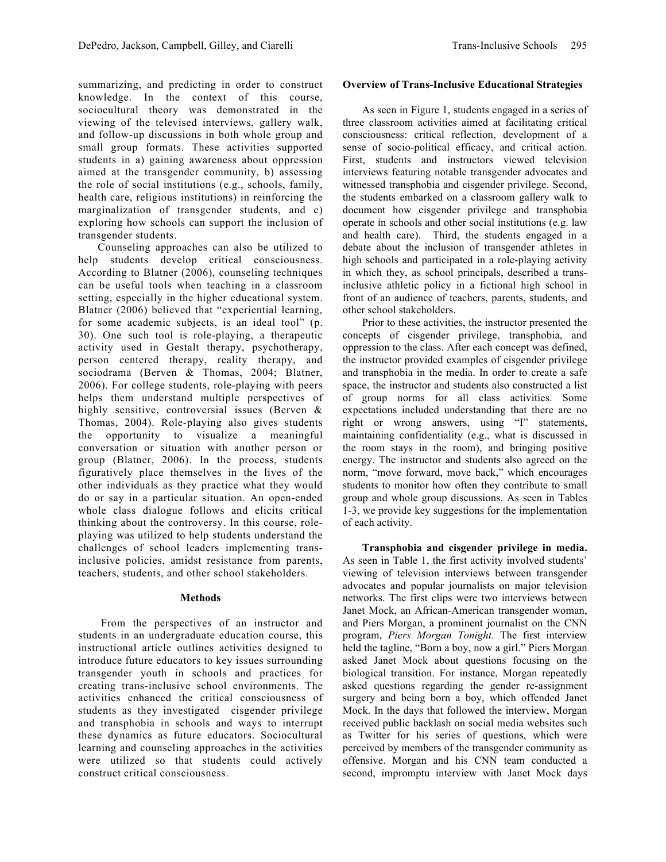summarizing, and predicting in order to construct knowledge. In the context of this course, sociocultural theory was demonstrated in the viewing of the televised interviews, gallery walk, and follow-up discussions in both whole group and small group formats. These activities supported students in a) gaining awareness about oppression aimed at the transgender community, b) assessing the role of social institutions (e.g., schools, family, health care, religious institutions) in reinforcing the marginalization of transgender students, and c) exploring how schools can support the inclusion of transgender students.

Counseling approaches can also be utilized to help students develop critical consciousness. According to Blatner (2006), counseling techniques can be useful tools when teaching in a classroom setting, especially in the higher educational system. Blatner (2006) believed that "experiential learning, for some academic subjects, is an ideal tool" (p. 30). One such tool is role-playing, a therapeutic activity used in Gestalt therapy, psychotherapy, person centered therapy, reality therapy, and sociodrama (Berven & Thomas, 2004; Blatner, 2006). For college students, role-playing with peers helps them understand multiple perspectives of highly sensitive, controversial issues (Berven & Thomas, 2004). Role-playing also gives students the opportunity to visualize a meaningful conversation or situation with another person or group (Blatner, 2006). In the process, students figuratively place themselves in the lives of the other individuals as they practice what they would do or say in a particular situation. An open-ended whole class dialogue follows and elicits critical thinking about the controversy. In this course, roleplaying was utilized to help students understand the challenges of school leaders implementing transinclusive policies, amidst resistance from parents, teachers, students, and other school stakeholders.

#### **Methods**

From the perspectives of an instructor and students in an undergraduate education course, this instructional article outlines activities designed to introduce future educators to key issues surrounding transgender youth in schools and practices for creating trans-inclusive school environments. The activities enhanced the critical consciousness of students as they investigated cisgender privilege and transphobia in schools and ways to interrupt these dynamics as future educators. Sociocultural learning and counseling approaches in the activities were utilized so that students could actively construct critical consciousness.

#### **Overview of Trans-Inclusive Educational Strategies**

As seen in Figure 1, students engaged in a series of three classroom activities aimed at facilitating critical consciousness: critical reflection, development of a sense of socio-political efficacy, and critical action. First, students and instructors viewed television interviews featuring notable transgender advocates and witnessed transphobia and cisgender privilege. Second, the students embarked on a classroom gallery walk to document how cisgender privilege and transphobia operate in schools and other social institutions (e.g. law and health care). Third, the students engaged in a debate about the inclusion of transgender athletes in high schools and participated in a role-playing activity in which they, as school principals, described a transinclusive athletic policy in a fictional high school in front of an audience of teachers, parents, students, and other school stakeholders.

Prior to these activities, the instructor presented the concepts of cisgender privilege, transphobia, and oppression to the class. After each concept was defined, the instructor provided examples of cisgender privilege and transphobia in the media. In order to create a safe space, the instructor and students also constructed a list of group norms for all class activities. Some expectations included understanding that there are no right or wrong answers, using "I" statements, maintaining confidentiality (e.g., what is discussed in the room stays in the room), and bringing positive energy. The instructor and students also agreed on the norm, "move forward, move back," which encourages students to monitor how often they contribute to small group and whole group discussions. As seen in Tables 1-3, we provide key suggestions for the implementation of each activity.

**Transphobia and cisgender privilege in media.**  As seen in Table 1, the first activity involved students' viewing of television interviews between transgender advocates and popular journalists on major television networks. The first clips were two interviews between Janet Mock, an African-American transgender woman, and Piers Morgan, a prominent journalist on the CNN program, *Piers Morgan Tonight*. The first interview held the tagline, "Born a boy, now a girl." Piers Morgan asked Janet Mock about questions focusing on the biological transition. For instance, Morgan repeatedly asked questions regarding the gender re-assignment surgery and being born a boy, which offended Janet Mock. In the days that followed the interview, Morgan received public backlash on social media websites such as Twitter for his series of questions, which were perceived by members of the transgender community as offensive. Morgan and his CNN team conducted a second, impromptu interview with Janet Mock days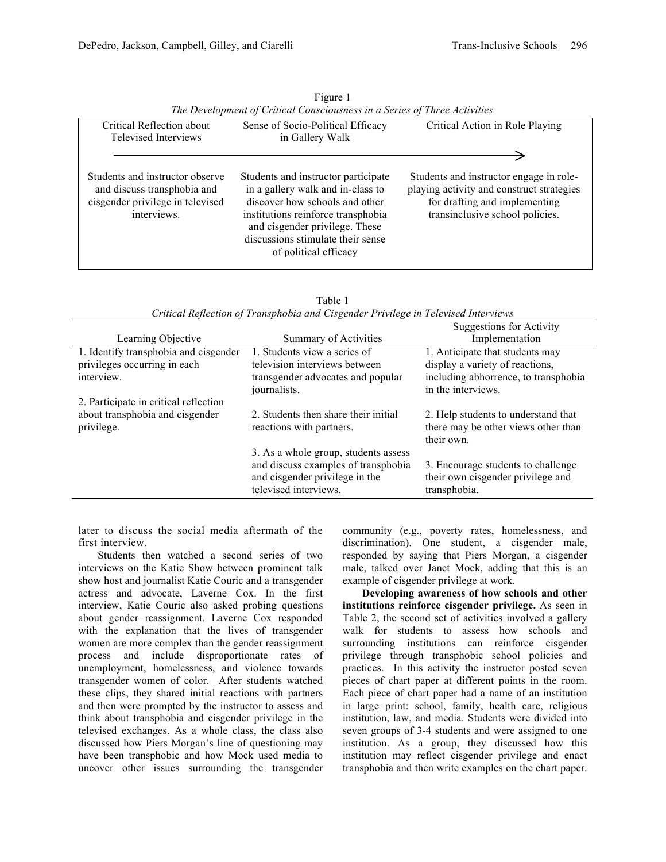| Critical Reflection about<br><b>Televised Interviews</b>                                                          | Sense of Socio-Political Efficacy<br>in Gallery Walk                                                                                                                                                                                             | Critical Action in Role Playing                                                                                                                          |
|-------------------------------------------------------------------------------------------------------------------|--------------------------------------------------------------------------------------------------------------------------------------------------------------------------------------------------------------------------------------------------|----------------------------------------------------------------------------------------------------------------------------------------------------------|
|                                                                                                                   |                                                                                                                                                                                                                                                  |                                                                                                                                                          |
| Students and instructor observe<br>and discuss transphobia and<br>cisgender privilege in televised<br>interviews. | Students and instructor participate<br>in a gallery walk and in-class to<br>discover how schools and other<br>institutions reinforce transphobia<br>and cisgender privilege. These<br>discussions stimulate their sense<br>of political efficacy | Students and instructor engage in role-<br>playing activity and construct strategies<br>for drafting and implementing<br>transinclusive school policies. |

| Figure 1                                                                  |
|---------------------------------------------------------------------------|
| The Development of Critical Consciousness in a Series of Three Activities |

| Critical Reflection of Transphobia and Cisgender Privilege in Televised Interviews |                                      |                                      |  |
|------------------------------------------------------------------------------------|--------------------------------------|--------------------------------------|--|
|                                                                                    |                                      | <b>Suggestions for Activity</b>      |  |
| Learning Objective                                                                 | Summary of Activities                | Implementation                       |  |
| 1. Identify transphobia and cisgender                                              | 1. Students view a series of         | 1. Anticipate that students may      |  |
| privileges occurring in each                                                       | television interviews between        | display a variety of reactions,      |  |
| interview.                                                                         | transgender advocates and popular    | including abhorrence, to transphobia |  |
|                                                                                    | journalists.                         | in the interviews.                   |  |
| 2. Participate in critical reflection                                              |                                      |                                      |  |
| about transphobia and cisgender                                                    | 2. Students then share their initial | 2. Help students to understand that  |  |
| privilege.                                                                         | reactions with partners.             | there may be other views other than  |  |
|                                                                                    |                                      | their own.                           |  |
|                                                                                    | 3. As a whole group, students assess |                                      |  |
|                                                                                    | and discuss examples of transphobia  | 3. Encourage students to challenge   |  |
|                                                                                    | and cisgender privilege in the       | their own cisgender privilege and    |  |

televised interviews.

| Table 1                                                                            |  |
|------------------------------------------------------------------------------------|--|
| Critical Reflection of Transphobia and Cisgender Privilege in Televised Interviews |  |

later to discuss the social media aftermath of the first interview.

Students then watched a second series of two interviews on the Katie Show between prominent talk show host and journalist Katie Couric and a transgender actress and advocate, Laverne Cox. In the first interview, Katie Couric also asked probing questions about gender reassignment. Laverne Cox responded with the explanation that the lives of transgender women are more complex than the gender reassignment process and include disproportionate rates of unemployment, homelessness, and violence towards transgender women of color. After students watched these clips, they shared initial reactions with partners and then were prompted by the instructor to assess and think about transphobia and cisgender privilege in the televised exchanges. As a whole class, the class also discussed how Piers Morgan's line of questioning may have been transphobic and how Mock used media to uncover other issues surrounding the transgender

community (e.g., poverty rates, homelessness, and discrimination). One student, a cisgender male, responded by saying that Piers Morgan, a cisgender male, talked over Janet Mock, adding that this is an example of cisgender privilege at work.

transphobia.

**Developing awareness of how schools and other institutions reinforce cisgender privilege.** As seen in Table 2, the second set of activities involved a gallery walk for students to assess how schools and surrounding institutions can reinforce cisgender privilege through transphobic school policies and practices. In this activity the instructor posted seven pieces of chart paper at different points in the room. Each piece of chart paper had a name of an institution in large print: school, family, health care, religious institution, law, and media. Students were divided into seven groups of 3-4 students and were assigned to one institution. As a group, they discussed how this institution may reflect cisgender privilege and enact transphobia and then write examples on the chart paper.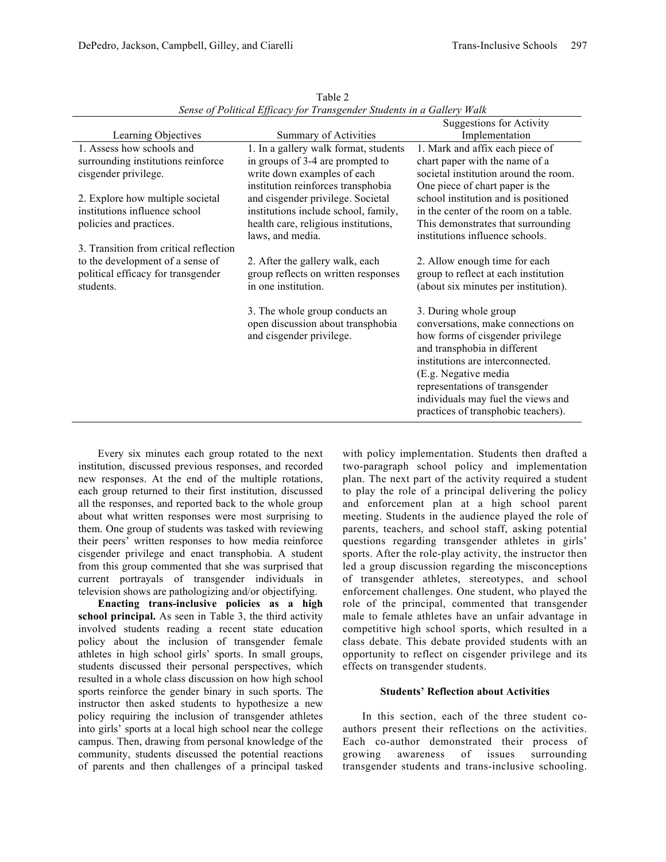|                                        |                                                               | <b>Suggestions for Activity</b>                                        |
|----------------------------------------|---------------------------------------------------------------|------------------------------------------------------------------------|
| Learning Objectives                    | Summary of Activities                                         | Implementation                                                         |
| 1. Assess how schools and              | 1. In a gallery walk format, students                         | 1. Mark and affix each piece of                                        |
| surrounding institutions reinforce     | in groups of 3-4 are prompted to                              | chart paper with the name of a                                         |
| cisgender privilege.                   | write down examples of each                                   | societal institution around the room.                                  |
|                                        | institution reinforces transphobia                            | One piece of chart paper is the                                        |
| 2. Explore how multiple societal       | and cisgender privilege. Societal                             | school institution and is positioned                                   |
| institutions influence school          | institutions include school, family,                          | in the center of the room on a table.                                  |
| policies and practices.                | health care, religious institutions,                          | This demonstrates that surrounding                                     |
|                                        | laws, and media.                                              | institutions influence schools.                                        |
| 3. Transition from critical reflection |                                                               |                                                                        |
| to the development of a sense of       | 2. After the gallery walk, each                               | 2. Allow enough time for each                                          |
| political efficacy for transgender     | group reflects on written responses                           | group to reflect at each institution                                   |
| students.                              | in one institution.                                           | (about six minutes per institution).                                   |
|                                        |                                                               |                                                                        |
|                                        | 3. The whole group conducts an                                | 3. During whole group                                                  |
|                                        | open discussion about transphobia<br>and cisgender privilege. | conversations, make connections on<br>how forms of cisgender privilege |
|                                        |                                                               | and transphobia in different                                           |
|                                        |                                                               | institutions are interconnected.                                       |
|                                        |                                                               | (E.g. Negative media                                                   |
|                                        |                                                               | representations of transgender                                         |
|                                        |                                                               | individuals may fuel the views and                                     |
|                                        |                                                               | practices of transphobic teachers).                                    |
|                                        |                                                               |                                                                        |

Table 2 *Sense of Political Efficacy for Transgender Students in a Gallery Walk*

Every six minutes each group rotated to the next institution, discussed previous responses, and recorded new responses. At the end of the multiple rotations, each group returned to their first institution, discussed all the responses, and reported back to the whole group about what written responses were most surprising to them. One group of students was tasked with reviewing their peers' written responses to how media reinforce cisgender privilege and enact transphobia. A student from this group commented that she was surprised that current portrayals of transgender individuals in television shows are pathologizing and/or objectifying.

**Enacting trans-inclusive policies as a high school principal.** As seen in Table 3, the third activity involved students reading a recent state education policy about the inclusion of transgender female athletes in high school girls' sports. In small groups, students discussed their personal perspectives, which resulted in a whole class discussion on how high school sports reinforce the gender binary in such sports. The instructor then asked students to hypothesize a new policy requiring the inclusion of transgender athletes into girls' sports at a local high school near the college campus. Then, drawing from personal knowledge of the community, students discussed the potential reactions of parents and then challenges of a principal tasked with policy implementation. Students then drafted a two-paragraph school policy and implementation plan. The next part of the activity required a student to play the role of a principal delivering the policy and enforcement plan at a high school parent meeting. Students in the audience played the role of parents, teachers, and school staff, asking potential questions regarding transgender athletes in girls' sports. After the role-play activity, the instructor then led a group discussion regarding the misconceptions of transgender athletes, stereotypes, and school enforcement challenges. One student, who played the role of the principal, commented that transgender male to female athletes have an unfair advantage in competitive high school sports, which resulted in a class debate. This debate provided students with an opportunity to reflect on cisgender privilege and its effects on transgender students.

## **Students' Reflection about Activities**

In this section, each of the three student coauthors present their reflections on the activities. Each co-author demonstrated their process of growing awareness of issues surrounding transgender students and trans-inclusive schooling.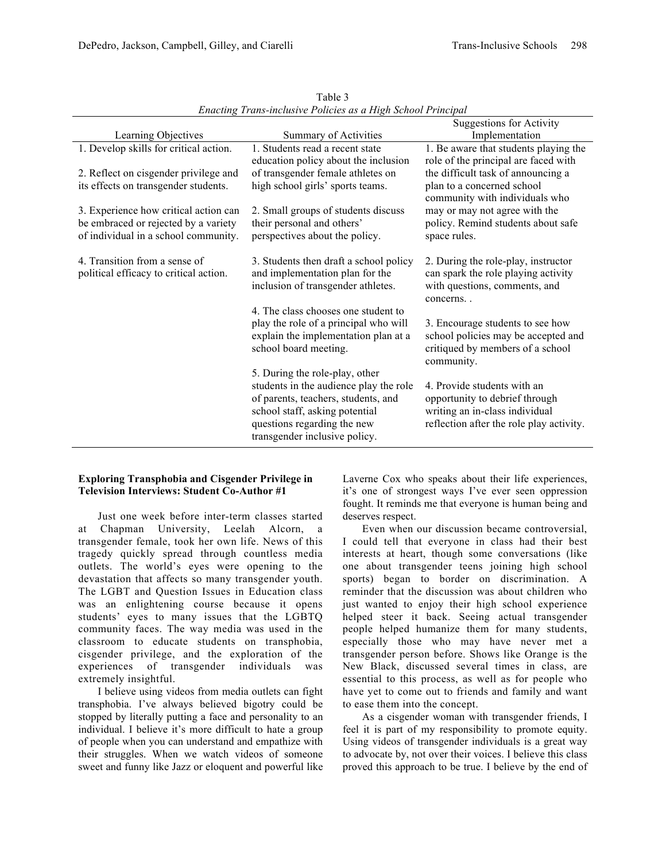|                                        |                                        | <b>Suggestions for Activity</b>          |
|----------------------------------------|----------------------------------------|------------------------------------------|
|                                        |                                        |                                          |
| Learning Objectives                    | Summary of Activities                  | Implementation                           |
| 1. Develop skills for critical action. | 1. Students read a recent state        | 1. Be aware that students playing the    |
|                                        | education policy about the inclusion   | role of the principal are faced with     |
| 2. Reflect on cisgender privilege and  | of transgender female athletes on      | the difficult task of announcing a       |
| its effects on transgender students.   | high school girls' sports teams.       | plan to a concerned school               |
|                                        |                                        | community with individuals who           |
| 3. Experience how critical action can  | 2. Small groups of students discuss    | may or may not agree with the            |
|                                        |                                        |                                          |
| be embraced or rejected by a variety   | their personal and others'             | policy. Remind students about safe       |
| of individual in a school community.   | perspectives about the policy.         | space rules.                             |
|                                        |                                        |                                          |
| 4. Transition from a sense of          | 3. Students then draft a school policy | 2. During the role-play, instructor      |
| political efficacy to critical action. | and implementation plan for the        | can spark the role playing activity      |
|                                        | inclusion of transgender athletes.     | with questions, comments, and            |
|                                        |                                        | concerns                                 |
|                                        | 4. The class chooses one student to    |                                          |
|                                        | play the role of a principal who will  | 3. Encourage students to see how         |
|                                        | explain the implementation plan at a   | school policies may be accepted and      |
|                                        |                                        |                                          |
|                                        | school board meeting.                  | critiqued by members of a school         |
|                                        |                                        | community.                               |
|                                        | 5. During the role-play, other         |                                          |
|                                        | students in the audience play the role | 4. Provide students with an              |
|                                        | of parents, teachers, students, and    | opportunity to debrief through           |
|                                        | school staff, asking potential         | writing an in-class individual           |
|                                        | questions regarding the new            | reflection after the role play activity. |
|                                        | transgender inclusive policy.          |                                          |
|                                        |                                        |                                          |

Table 3 *Enacting Trans-inclusive Policies as a High School Principal*

#### **Exploring Transphobia and Cisgender Privilege in Television Interviews: Student Co-Author #1**

Just one week before inter-term classes started at Chapman University, Leelah Alcorn, a transgender female, took her own life. News of this tragedy quickly spread through countless media outlets. The world's eyes were opening to the devastation that affects so many transgender youth. The LGBT and Question Issues in Education class was an enlightening course because it opens students' eyes to many issues that the LGBTQ community faces. The way media was used in the classroom to educate students on transphobia, cisgender privilege, and the exploration of the experiences of transgender individuals was extremely insightful.

I believe using videos from media outlets can fight transphobia. I've always believed bigotry could be stopped by literally putting a face and personality to an individual. I believe it's more difficult to hate a group of people when you can understand and empathize with their struggles. When we watch videos of someone sweet and funny like Jazz or eloquent and powerful like

Laverne Cox who speaks about their life experiences, it's one of strongest ways I've ever seen oppression fought. It reminds me that everyone is human being and deserves respect.

Even when our discussion became controversial, I could tell that everyone in class had their best interests at heart, though some conversations (like one about transgender teens joining high school sports) began to border on discrimination. A reminder that the discussion was about children who just wanted to enjoy their high school experience helped steer it back. Seeing actual transgender people helped humanize them for many students, especially those who may have never met a transgender person before. Shows like Orange is the New Black, discussed several times in class, are essential to this process, as well as for people who have yet to come out to friends and family and want to ease them into the concept.

As a cisgender woman with transgender friends, I feel it is part of my responsibility to promote equity. Using videos of transgender individuals is a great way to advocate by, not over their voices. I believe this class proved this approach to be true. I believe by the end of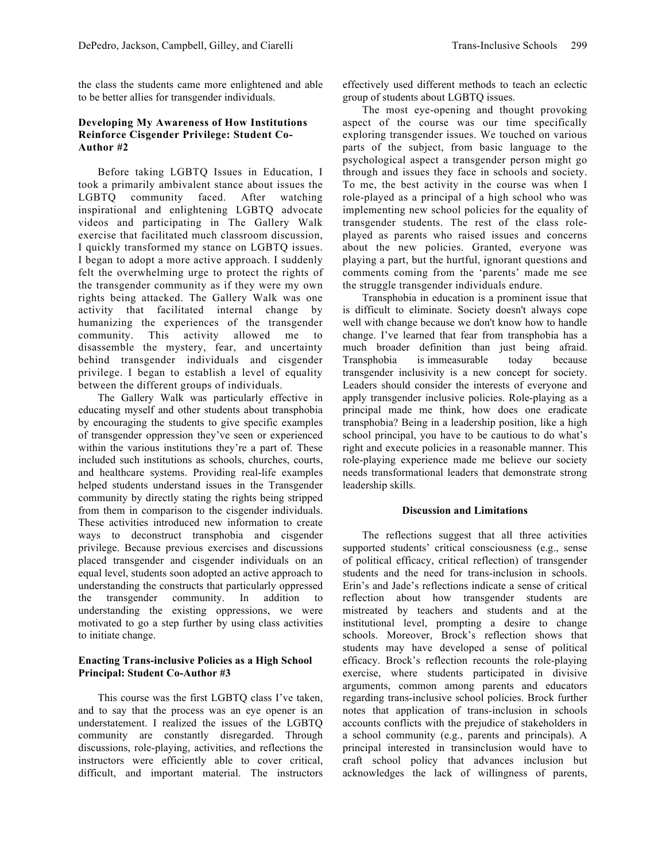the class the students came more enlightened and able to be better allies for transgender individuals.

#### **Developing My Awareness of How Institutions Reinforce Cisgender Privilege: Student Co-Author #2**

Before taking LGBTQ Issues in Education, I took a primarily ambivalent stance about issues the LGBTQ community faced. After watching inspirational and enlightening LGBTQ advocate videos and participating in The Gallery Walk exercise that facilitated much classroom discussion, I quickly transformed my stance on LGBTQ issues. I began to adopt a more active approach. I suddenly felt the overwhelming urge to protect the rights of the transgender community as if they were my own rights being attacked. The Gallery Walk was one activity that facilitated internal change by humanizing the experiences of the transgender community. This activity allowed me to disassemble the mystery, fear, and uncertainty behind transgender individuals and cisgender privilege. I began to establish a level of equality between the different groups of individuals.

The Gallery Walk was particularly effective in educating myself and other students about transphobia by encouraging the students to give specific examples of transgender oppression they've seen or experienced within the various institutions they're a part of. These included such institutions as schools, churches, courts, and healthcare systems. Providing real-life examples helped students understand issues in the Transgender community by directly stating the rights being stripped from them in comparison to the cisgender individuals. These activities introduced new information to create ways to deconstruct transphobia and cisgender privilege. Because previous exercises and discussions placed transgender and cisgender individuals on an equal level, students soon adopted an active approach to understanding the constructs that particularly oppressed the transgender community. In addition to understanding the existing oppressions, we were motivated to go a step further by using class activities to initiate change.

#### **Enacting Trans-inclusive Policies as a High School Principal: Student Co-Author #3**

This course was the first LGBTQ class I've taken, and to say that the process was an eye opener is an understatement. I realized the issues of the LGBTQ community are constantly disregarded. Through discussions, role-playing, activities, and reflections the instructors were efficiently able to cover critical, difficult, and important material. The instructors effectively used different methods to teach an eclectic group of students about LGBTQ issues.

The most eye-opening and thought provoking aspect of the course was our time specifically exploring transgender issues. We touched on various parts of the subject, from basic language to the psychological aspect a transgender person might go through and issues they face in schools and society. To me, the best activity in the course was when I role-played as a principal of a high school who was implementing new school policies for the equality of transgender students. The rest of the class roleplayed as parents who raised issues and concerns about the new policies. Granted, everyone was playing a part, but the hurtful, ignorant questions and comments coming from the 'parents' made me see the struggle transgender individuals endure.

Transphobia in education is a prominent issue that is difficult to eliminate. Society doesn't always cope well with change because we don't know how to handle change. I've learned that fear from transphobia has a much broader definition than just being afraid. Transphobia is immeasurable today because transgender inclusivity is a new concept for society. Leaders should consider the interests of everyone and apply transgender inclusive policies. Role-playing as a principal made me think, how does one eradicate transphobia? Being in a leadership position, like a high school principal, you have to be cautious to do what's right and execute policies in a reasonable manner. This role-playing experience made me believe our society needs transformational leaders that demonstrate strong leadership skills.

#### **Discussion and Limitations**

The reflections suggest that all three activities supported students' critical consciousness (e.g., sense of political efficacy, critical reflection) of transgender students and the need for trans-inclusion in schools. Erin's and Jade's reflections indicate a sense of critical reflection about how transgender students are mistreated by teachers and students and at the institutional level, prompting a desire to change schools. Moreover, Brock's reflection shows that students may have developed a sense of political efficacy. Brock's reflection recounts the role-playing exercise, where students participated in divisive arguments, common among parents and educators regarding trans-inclusive school policies. Brock further notes that application of trans-inclusion in schools accounts conflicts with the prejudice of stakeholders in a school community (e.g., parents and principals). A principal interested in transinclusion would have to craft school policy that advances inclusion but acknowledges the lack of willingness of parents,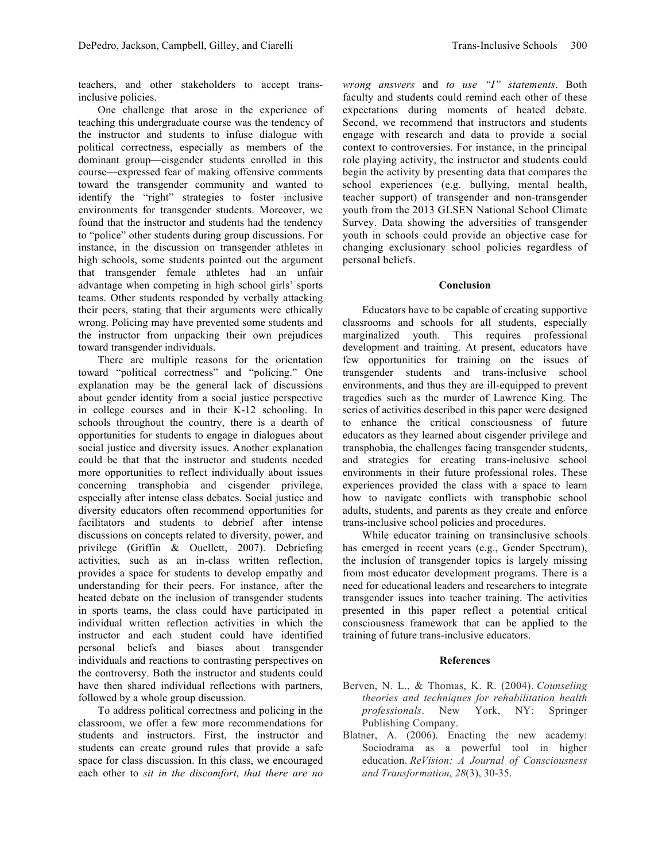teachers, and other stakeholders to accept transinclusive policies.

One challenge that arose in the experience of teaching this undergraduate course was the tendency of the instructor and students to infuse dialogue with political correctness, especially as members of the dominant group—cisgender students enrolled in this course—expressed fear of making offensive comments toward the transgender community and wanted to identify the "right" strategies to foster inclusive environments for transgender students. Moreover, we found that the instructor and students had the tendency to "police" other students during group discussions. For instance, in the discussion on transgender athletes in high schools, some students pointed out the argument that transgender female athletes had an unfair advantage when competing in high school girls' sports teams. Other students responded by verbally attacking their peers, stating that their arguments were ethically wrong. Policing may have prevented some students and the instructor from unpacking their own prejudices toward transgender individuals.

There are multiple reasons for the orientation toward "political correctness" and "policing." One explanation may be the general lack of discussions about gender identity from a social justice perspective in college courses and in their K-12 schooling. In schools throughout the country, there is a dearth of opportunities for students to engage in dialogues about social justice and diversity issues. Another explanation could be that that the instructor and students needed more opportunities to reflect individually about issues concerning transphobia and cisgender privilege, especially after intense class debates. Social justice and diversity educators often recommend opportunities for facilitators and students to debrief after intense discussions on concepts related to diversity, power, and privilege (Griffin & Ouellett, 2007). Debriefing activities, such as an in-class written reflection, provides a space for students to develop empathy and understanding for their peers. For instance, after the heated debate on the inclusion of transgender students in sports teams, the class could have participated in individual written reflection activities in which the instructor and each student could have identified personal beliefs and biases about transgender individuals and reactions to contrasting perspectives on the controversy. Both the instructor and students could have then shared individual reflections with partners, followed by a whole group discussion.

To address political correctness and policing in the classroom, we offer a few more recommendations for students and instructors. First, the instructor and students can create ground rules that provide a safe space for class discussion. In this class, we encouraged each other to *sit in the discomfort*, *that there are no* 

*wrong answers* and *to use "I" statements*. Both faculty and students could remind each other of these expectations during moments of heated debate. Second, we recommend that instructors and students engage with research and data to provide a social context to controversies. For instance, in the principal role playing activity, the instructor and students could begin the activity by presenting data that compares the school experiences (e.g. bullying, mental health, teacher support) of transgender and non-transgender youth from the 2013 GLSEN National School Climate Survey. Data showing the adversities of transgender youth in schools could provide an objective case for changing exclusionary school policies regardless of personal beliefs.

#### **Conclusion**

Educators have to be capable of creating supportive classrooms and schools for all students, especially marginalized youth. This requires professional development and training. At present, educators have few opportunities for training on the issues of transgender students and trans-inclusive school environments, and thus they are ill-equipped to prevent tragedies such as the murder of Lawrence King. The series of activities described in this paper were designed to enhance the critical consciousness of future educators as they learned about cisgender privilege and transphobia, the challenges facing transgender students, and strategies for creating trans-inclusive school environments in their future professional roles. These experiences provided the class with a space to learn how to navigate conflicts with transphobic school adults, students, and parents as they create and enforce trans-inclusive school policies and procedures.

While educator training on transinclusive schools has emerged in recent years (e.g., Gender Spectrum), the inclusion of transgender topics is largely missing from most educator development programs. There is a need for educational leaders and researchers to integrate transgender issues into teacher training. The activities presented in this paper reflect a potential critical consciousness framework that can be applied to the training of future trans-inclusive educators.

#### **References**

- Berven, N. L., & Thomas, K. R. (2004). *Counseling theories and techniques for rehabilitation health professionals*. New York, NY: Springer Publishing Company.
- Blatner, A. (2006). Enacting the new academy: Sociodrama as a powerful tool in higher education. *ReVision: A Journal of Consciousness and Transformation*, *28*(3), 30-35.